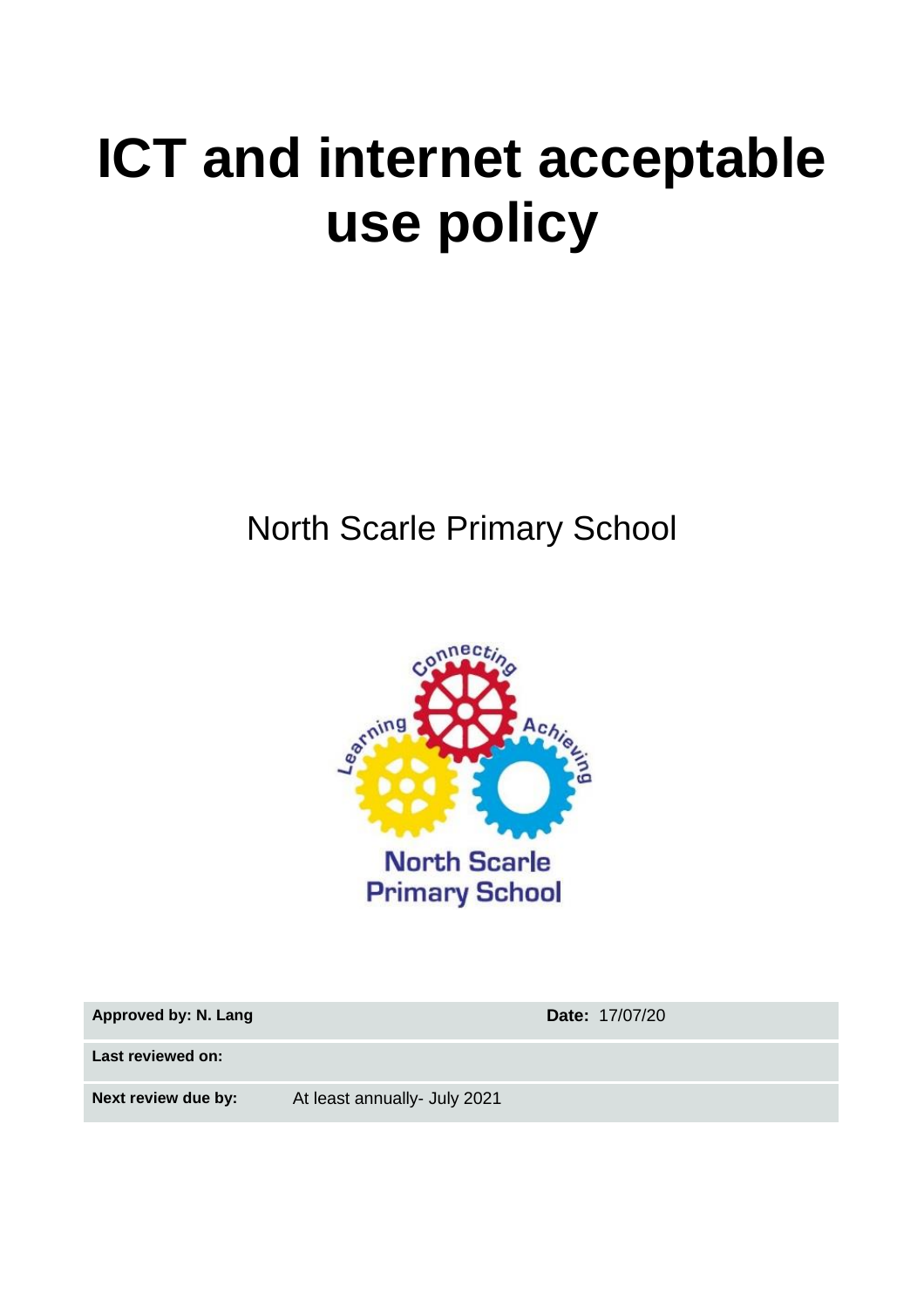# **ICT and internet acceptable use policy**

North Scarle Primary School



**Approved by: N. Lang Date:** 17/07/20

**Last reviewed on:**

**Next review due by:** At least annually- July 2021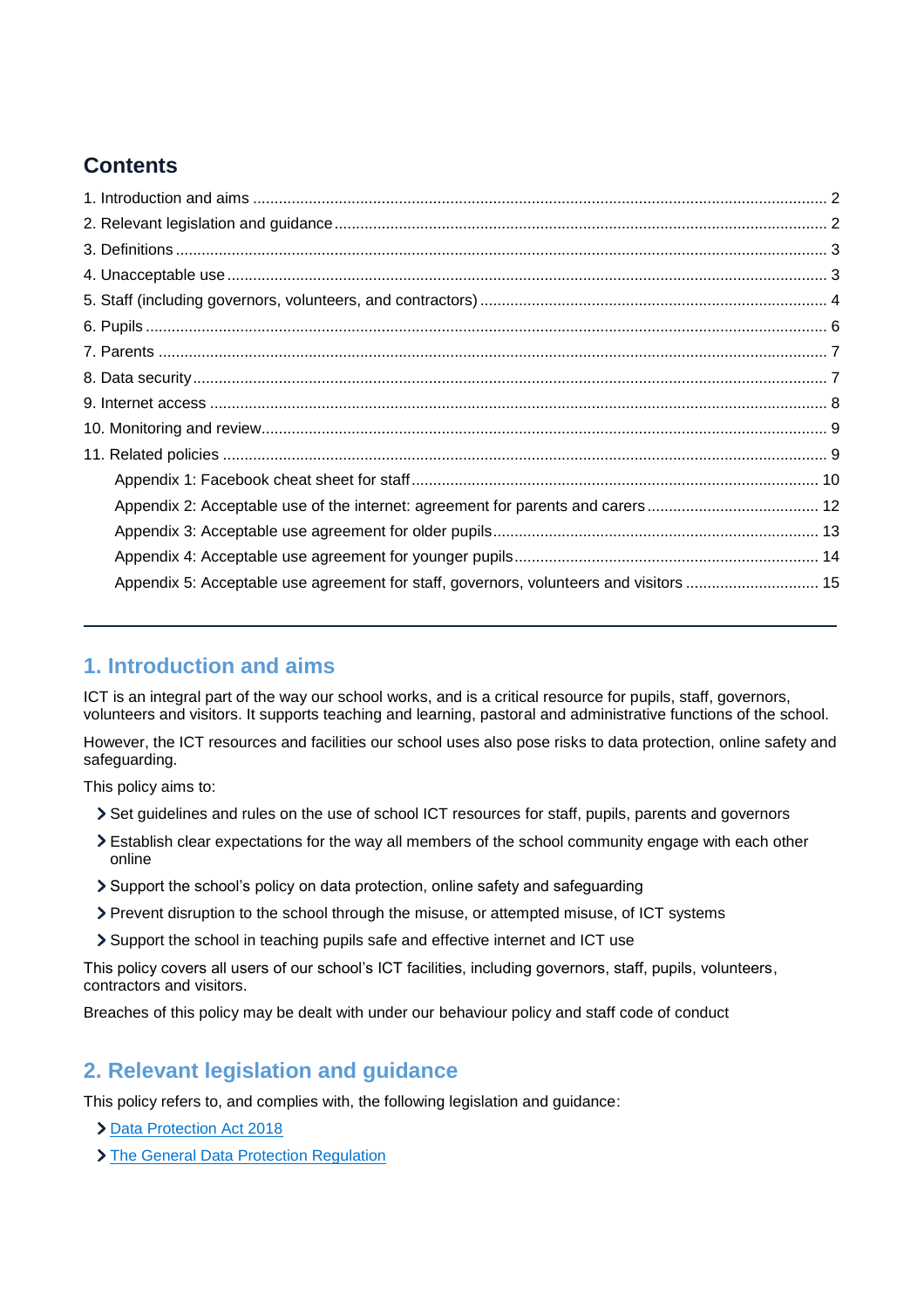# **Contents**

| Appendix 5: Acceptable use agreement for staff, governors, volunteers and visitors  15 |  |
|----------------------------------------------------------------------------------------|--|
|                                                                                        |  |

# <span id="page-1-0"></span>**1. Introduction and aims**

ICT is an integral part of the way our school works, and is a critical resource for pupils, staff, governors, volunteers and visitors. It supports teaching and learning, pastoral and administrative functions of the school.

However, the ICT resources and facilities our school uses also pose risks to data protection, online safety and safeguarding.

This policy aims to:

- Set guidelines and rules on the use of school ICT resources for staff, pupils, parents and governors
- Establish clear expectations for the way all members of the school community engage with each other online
- Support the school's policy on data protection, online safety and safeguarding
- Prevent disruption to the school through the misuse, or attempted misuse, of ICT systems
- Support the school in teaching pupils safe and effective internet and ICT use

This policy covers all users of our school's ICT facilities, including governors, staff, pupils, volunteers, contractors and visitors.

Breaches of this policy may be dealt with under our behaviour policy and staff code of conduct

# <span id="page-1-1"></span>**2. Relevant legislation and guidance**

This policy refers to, and complies with, the following legislation and guidance:

- **[Data Protection Act 2018](http://www.legislation.gov.uk/ukpga/2018/12/contents/enacted)**
- > [The General Data Protection Regulation](https://eur-lex.europa.eu/legal-content/EN/TXT/HTML/?uri=CELEX:32016R0679)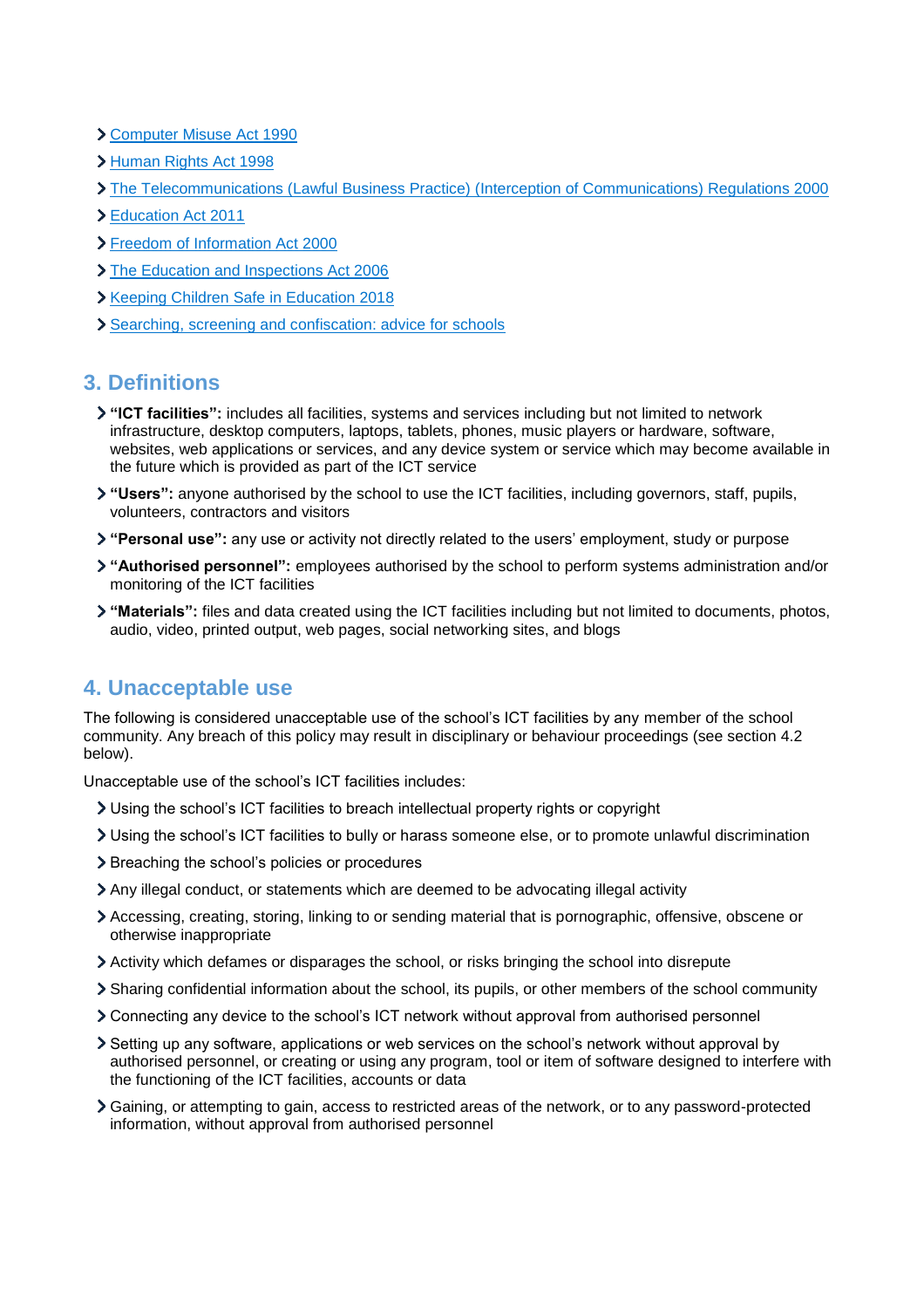- [Computer Misuse Act 1990](https://www.legislation.gov.uk/ukpga/1990/18/contents)
- [Human Rights Act 1998](https://www.legislation.gov.uk/ukpga/1998/42/contents)
- [The Telecommunications \(Lawful Business Practice\) \(Interception of Communications\) Regulations 2000](https://www.legislation.gov.uk/uksi/2000/2699/regulation/3/made)
- [Education Act 2011](http://www.legislation.gov.uk/ukpga/2011/21/section/2/enacted)
- [Freedom of Information Act 2000](https://www.legislation.gov.uk/ukpga/2000/36/contents)
- > [The Education and Inspections Act 2006](https://www.legislation.gov.uk/ukpga/2006/40/part/7/chapter/1)
- **X** [Keeping Children Safe in Education 2018](https://www.gov.uk/government/publications/keeping-children-safe-in-education--2)
- [Searching, screening and confiscation: advice for schools](https://www.gov.uk/government/publications/searching-screening-and-confiscation)

# <span id="page-2-0"></span>**3. Definitions**

- **"ICT facilities":** includes all facilities, systems and services including but not limited to network infrastructure, desktop computers, laptops, tablets, phones, music players or hardware, software, websites, web applications or services, and any device system or service which may become available in the future which is provided as part of the ICT service
- **"Users":** anyone authorised by the school to use the ICT facilities, including governors, staff, pupils, volunteers, contractors and visitors
- **"Personal use":** any use or activity not directly related to the users' employment, study or purpose
- **"Authorised personnel":** employees authorised by the school to perform systems administration and/or monitoring of the ICT facilities
- **"Materials":** files and data created using the ICT facilities including but not limited to documents, photos, audio, video, printed output, web pages, social networking sites, and blogs

# <span id="page-2-1"></span>**4. Unacceptable use**

The following is considered unacceptable use of the school's ICT facilities by any member of the school community. Any breach of this policy may result in disciplinary or behaviour proceedings (see section 4.2 below).

Unacceptable use of the school's ICT facilities includes:

- Using the school's ICT facilities to breach intellectual property rights or copyright
- Using the school's ICT facilities to bully or harass someone else, or to promote unlawful discrimination
- > Breaching the school's policies or procedures
- Any illegal conduct, or statements which are deemed to be advocating illegal activity
- Accessing, creating, storing, linking to or sending material that is pornographic, offensive, obscene or otherwise inappropriate
- Activity which defames or disparages the school, or risks bringing the school into disrepute
- Sharing confidential information about the school, its pupils, or other members of the school community
- Connecting any device to the school's ICT network without approval from authorised personnel
- Setting up any software, applications or web services on the school's network without approval by authorised personnel, or creating or using any program, tool or item of software designed to interfere with the functioning of the ICT facilities, accounts or data
- Gaining, or attempting to gain, access to restricted areas of the network, or to any password-protected information, without approval from authorised personnel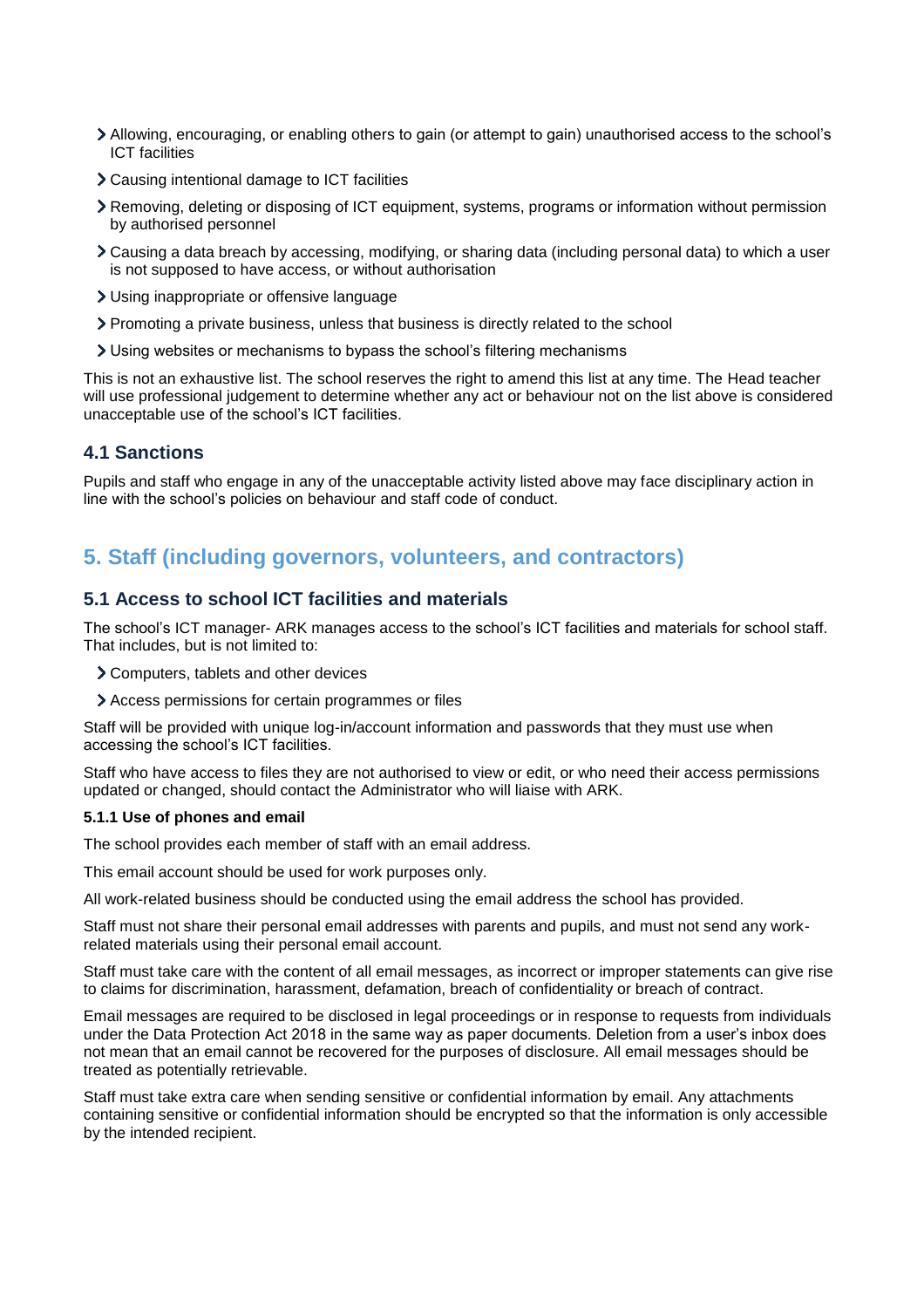- Allowing, encouraging, or enabling others to gain (or attempt to gain) unauthorised access to the school's ICT facilities
- Causing intentional damage to ICT facilities
- Removing, deleting or disposing of ICT equipment, systems, programs or information without permission by authorised personnel
- Causing a data breach by accessing, modifying, or sharing data (including personal data) to which a user is not supposed to have access, or without authorisation
- Using inappropriate or offensive language
- Promoting a private business, unless that business is directly related to the school
- Using websites or mechanisms to bypass the school's filtering mechanisms

This is not an exhaustive list. The school reserves the right to amend this list at any time. The Head teacher will use professional judgement to determine whether any act or behaviour not on the list above is considered unacceptable use of the school's ICT facilities.

### **4.1 Sanctions**

Pupils and staff who engage in any of the unacceptable activity listed above may face disciplinary action in line with the school's policies on behaviour and staff code of conduct.

# <span id="page-3-0"></span>**5. Staff (including governors, volunteers, and contractors)**

#### **5.1 Access to school ICT facilities and materials**

The school's ICT manager- ARK manages access to the school's ICT facilities and materials for school staff. That includes, but is not limited to:

- Computers, tablets and other devices
- Access permissions for certain programmes or files

Staff will be provided with unique log-in/account information and passwords that they must use when accessing the school's ICT facilities.

Staff who have access to files they are not authorised to view or edit, or who need their access permissions updated or changed, should contact the Administrator who will liaise with ARK.

#### **5.1.1 Use of phones and email**

The school provides each member of staff with an email address.

This email account should be used for work purposes only.

All work-related business should be conducted using the email address the school has provided.

Staff must not share their personal email addresses with parents and pupils, and must not send any workrelated materials using their personal email account.

Staff must take care with the content of all email messages, as incorrect or improper statements can give rise to claims for discrimination, harassment, defamation, breach of confidentiality or breach of contract.

Email messages are required to be disclosed in legal proceedings or in response to requests from individuals under the Data Protection Act 2018 in the same way as paper documents. Deletion from a user's inbox does not mean that an email cannot be recovered for the purposes of disclosure. All email messages should be treated as potentially retrievable.

Staff must take extra care when sending sensitive or confidential information by email. Any attachments containing sensitive or confidential information should be encrypted so that the information is only accessible by the intended recipient.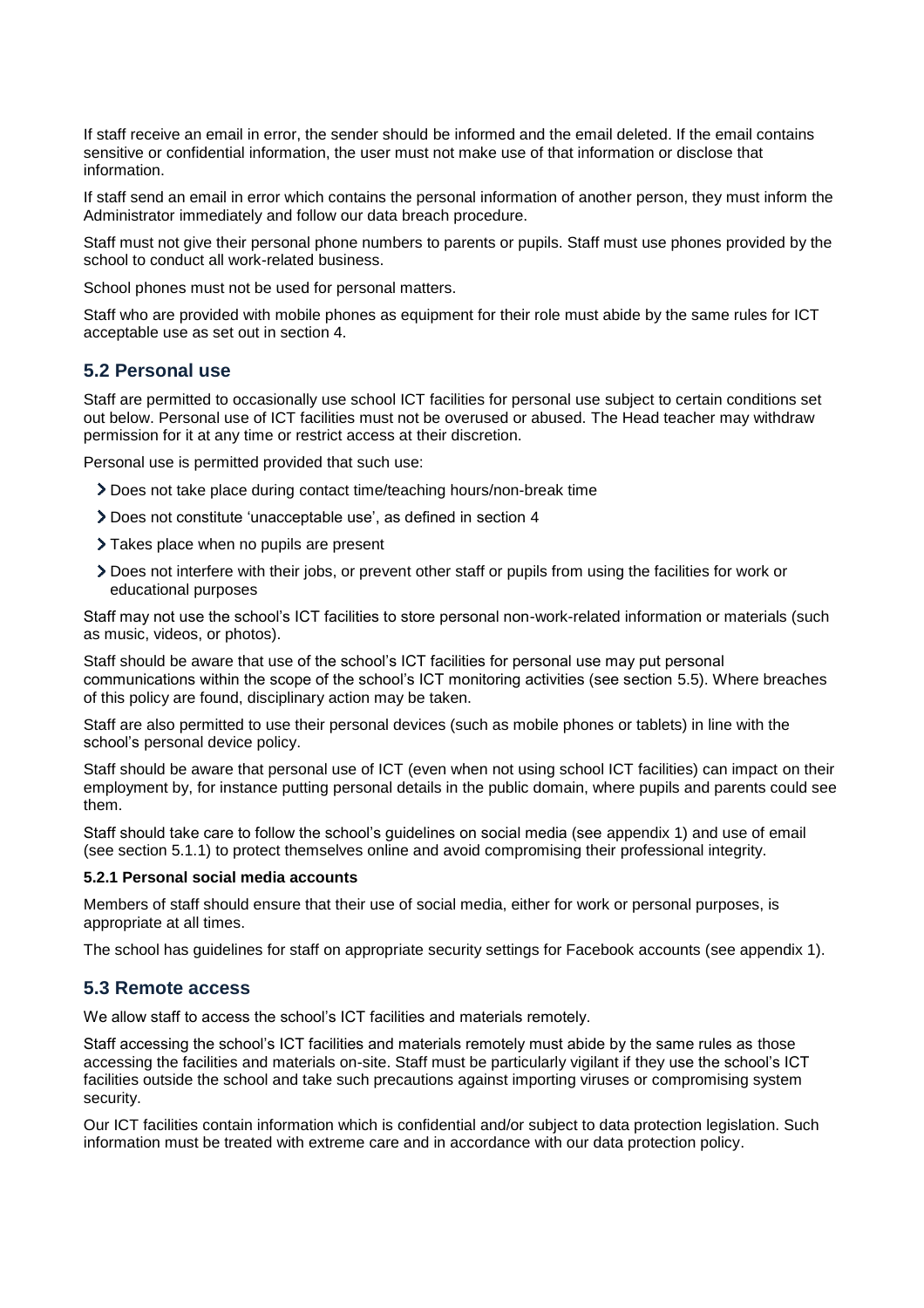If staff receive an email in error, the sender should be informed and the email deleted. If the email contains sensitive or confidential information, the user must not make use of that information or disclose that information.

If staff send an email in error which contains the personal information of another person, they must inform the Administrator immediately and follow our data breach procedure.

Staff must not give their personal phone numbers to parents or pupils. Staff must use phones provided by the school to conduct all work-related business.

School phones must not be used for personal matters.

Staff who are provided with mobile phones as equipment for their role must abide by the same rules for ICT acceptable use as set out in section 4.

## **5.2 Personal use**

Staff are permitted to occasionally use school ICT facilities for personal use subject to certain conditions set out below. Personal use of ICT facilities must not be overused or abused. The Head teacher may withdraw permission for it at any time or restrict access at their discretion.

Personal use is permitted provided that such use:

- Does not take place during contact time/teaching hours/non-break time
- Does not constitute 'unacceptable use', as defined in section 4
- > Takes place when no pupils are present
- Does not interfere with their jobs, or prevent other staff or pupils from using the facilities for work or educational purposes

Staff may not use the school's ICT facilities to store personal non-work-related information or materials (such as music, videos, or photos).

Staff should be aware that use of the school's ICT facilities for personal use may put personal communications within the scope of the school's ICT monitoring activities (see section 5.5). Where breaches of this policy are found, disciplinary action may be taken.

Staff are also permitted to use their personal devices (such as mobile phones or tablets) in line with the school's personal device policy.

Staff should be aware that personal use of ICT (even when not using school ICT facilities) can impact on their employment by, for instance putting personal details in the public domain, where pupils and parents could see them.

Staff should take care to follow the school's guidelines on social media (see appendix 1) and use of email (see section 5.1.1) to protect themselves online and avoid compromising their professional integrity.

#### **5.2.1 Personal social media accounts**

Members of staff should ensure that their use of social media, either for work or personal purposes, is appropriate at all times.

The school has guidelines for staff on appropriate security settings for Facebook accounts (see appendix 1).

#### **5.3 Remote access**

We allow staff to access the school's ICT facilities and materials remotely.

Staff accessing the school's ICT facilities and materials remotely must abide by the same rules as those accessing the facilities and materials on-site. Staff must be particularly vigilant if they use the school's ICT facilities outside the school and take such precautions against importing viruses or compromising system security.

Our ICT facilities contain information which is confidential and/or subject to data protection legislation. Such information must be treated with extreme care and in accordance with our data protection policy.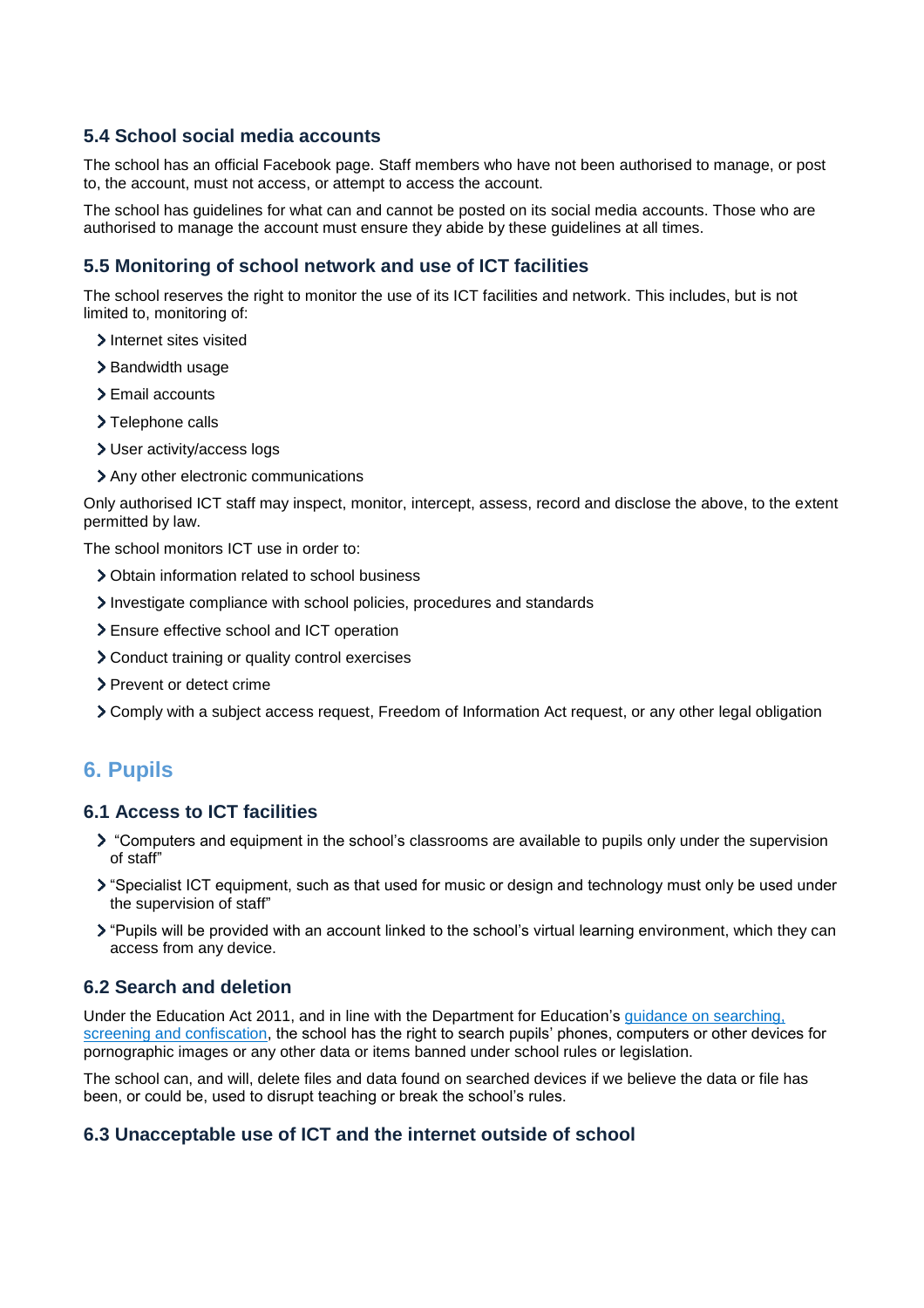# **5.4 School social media accounts**

The school has an official Facebook page. Staff members who have not been authorised to manage, or post to, the account, must not access, or attempt to access the account.

The school has guidelines for what can and cannot be posted on its social media accounts. Those who are authorised to manage the account must ensure they abide by these guidelines at all times.

## **5.5 Monitoring of school network and use of ICT facilities**

The school reserves the right to monitor the use of its ICT facilities and network. This includes, but is not limited to, monitoring of:

- > Internet sites visited
- > Bandwidth usage
- > Email accounts
- > Telephone calls
- User activity/access logs
- > Any other electronic communications

Only authorised ICT staff may inspect, monitor, intercept, assess, record and disclose the above, to the extent permitted by law.

The school monitors ICT use in order to:

- Obtain information related to school business
- Investigate compliance with school policies, procedures and standards
- Ensure effective school and ICT operation
- Conduct training or quality control exercises
- > Prevent or detect crime
- Comply with a subject access request, Freedom of Information Act request, or any other legal obligation

# <span id="page-5-0"></span>**6. Pupils**

## **6.1 Access to ICT facilities**

- > "Computers and equipment in the school's classrooms are available to pupils only under the supervision of staff"
- "Specialist ICT equipment, such as that used for music or design and technology must only be used under the supervision of staff"
- "Pupils will be provided with an account linked to the school's virtual learning environment, which they can access from any device.

### **6.2 Search and deletion**

Under the Education Act 2011, and in line with the Department for Education's [guidance on searching,](https://www.gov.uk/government/publications/searching-screening-and-confiscation)  [screening and confiscation,](https://www.gov.uk/government/publications/searching-screening-and-confiscation) the school has the right to search pupils' phones, computers or other devices for pornographic images or any other data or items banned under school rules or legislation.

The school can, and will, delete files and data found on searched devices if we believe the data or file has been, or could be, used to disrupt teaching or break the school's rules.

## **6.3 Unacceptable use of ICT and the internet outside of school**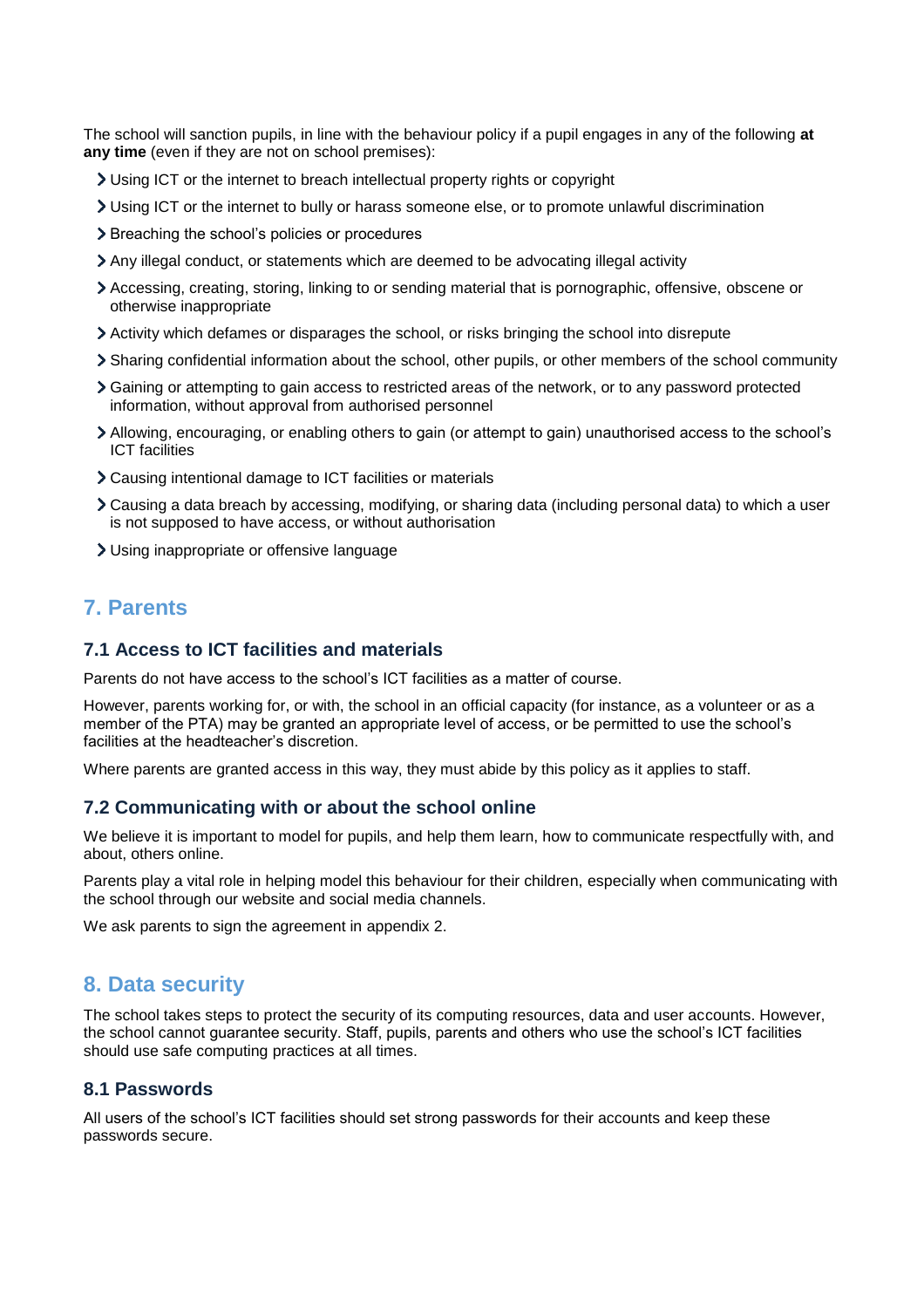The school will sanction pupils, in line with the behaviour policy if a pupil engages in any of the following **at any time** (even if they are not on school premises):

- Using ICT or the internet to breach intellectual property rights or copyright
- Using ICT or the internet to bully or harass someone else, or to promote unlawful discrimination
- > Breaching the school's policies or procedures
- Any illegal conduct, or statements which are deemed to be advocating illegal activity
- Accessing, creating, storing, linking to or sending material that is pornographic, offensive, obscene or otherwise inappropriate
- Activity which defames or disparages the school, or risks bringing the school into disrepute
- Sharing confidential information about the school, other pupils, or other members of the school community
- Gaining or attempting to gain access to restricted areas of the network, or to any password protected information, without approval from authorised personnel
- Allowing, encouraging, or enabling others to gain (or attempt to gain) unauthorised access to the school's ICT facilities
- Causing intentional damage to ICT facilities or materials
- Causing a data breach by accessing, modifying, or sharing data (including personal data) to which a user is not supposed to have access, or without authorisation
- Using inappropriate or offensive language

# <span id="page-6-0"></span>**7. Parents**

#### **7.1 Access to ICT facilities and materials**

Parents do not have access to the school's ICT facilities as a matter of course.

However, parents working for, or with, the school in an official capacity (for instance, as a volunteer or as a member of the PTA) may be granted an appropriate level of access, or be permitted to use the school's facilities at the headteacher's discretion.

Where parents are granted access in this way, they must abide by this policy as it applies to staff.

#### **7.2 Communicating with or about the school online**

We believe it is important to model for pupils, and help them learn, how to communicate respectfully with, and about, others online.

Parents play a vital role in helping model this behaviour for their children, especially when communicating with the school through our website and social media channels.

We ask parents to sign the agreement in appendix 2.

#### <span id="page-6-1"></span>**8. Data security**

The school takes steps to protect the security of its computing resources, data and user accounts. However, the school cannot guarantee security. Staff, pupils, parents and others who use the school's ICT facilities should use safe computing practices at all times.

## **8.1 Passwords**

All users of the school's ICT facilities should set strong passwords for their accounts and keep these passwords secure.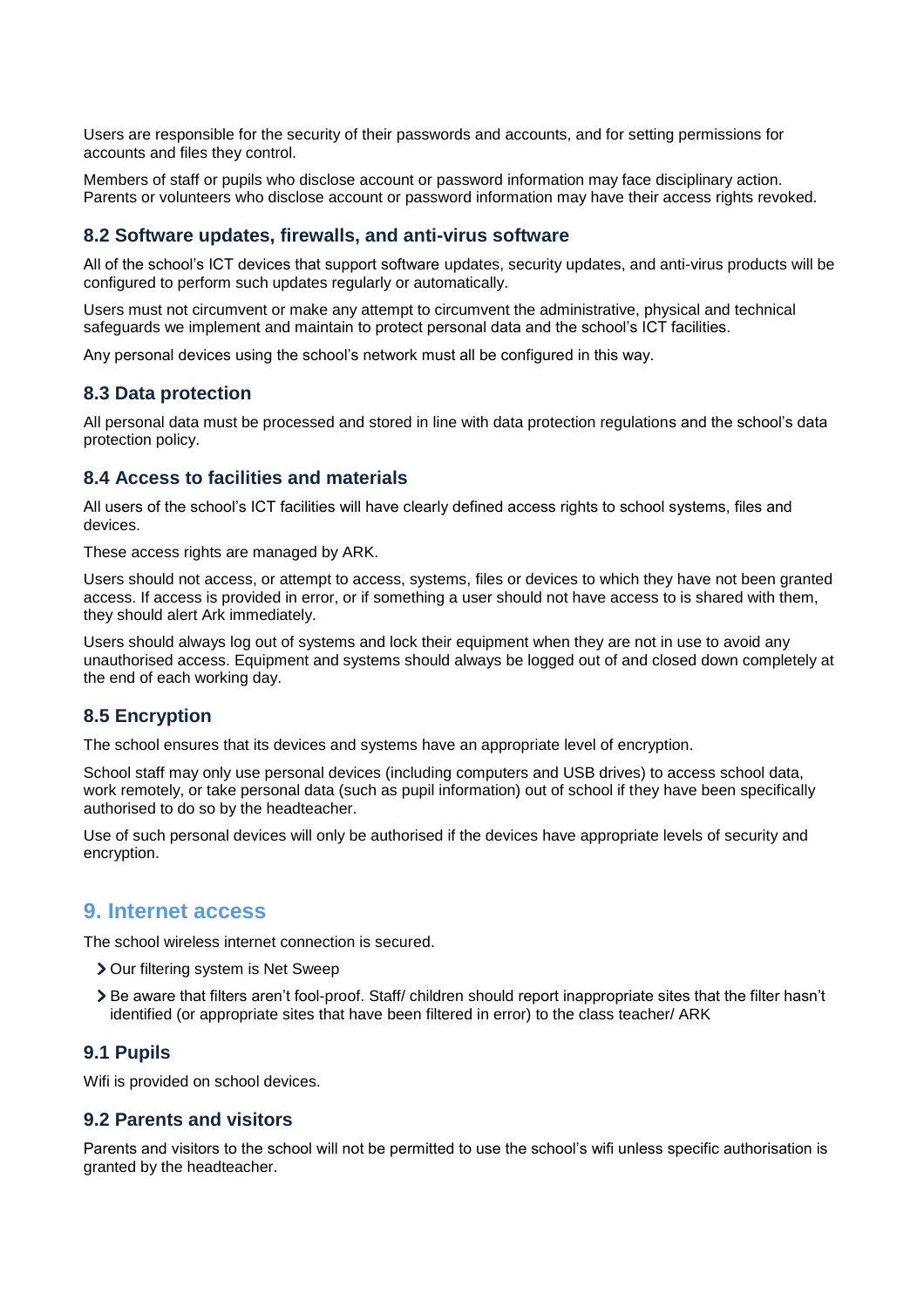Users are responsible for the security of their passwords and accounts, and for setting permissions for accounts and files they control.

Members of staff or pupils who disclose account or password information may face disciplinary action. Parents or volunteers who disclose account or password information may have their access rights revoked.

#### **8.2 Software updates, firewalls, and anti-virus software**

All of the school's ICT devices that support software updates, security updates, and anti-virus products will be configured to perform such updates regularly or automatically.

Users must not circumvent or make any attempt to circumvent the administrative, physical and technical safeguards we implement and maintain to protect personal data and the school's ICT facilities.

Any personal devices using the school's network must all be configured in this way.

#### **8.3 Data protection**

All personal data must be processed and stored in line with data protection regulations and the school's data protection policy.

#### **8.4 Access to facilities and materials**

All users of the school's ICT facilities will have clearly defined access rights to school systems, files and devices.

These access rights are managed by ARK.

Users should not access, or attempt to access, systems, files or devices to which they have not been granted access. If access is provided in error, or if something a user should not have access to is shared with them, they should alert Ark immediately.

Users should always log out of systems and lock their equipment when they are not in use to avoid any unauthorised access. Equipment and systems should always be logged out of and closed down completely at the end of each working day.

### **8.5 Encryption**

The school ensures that its devices and systems have an appropriate level of encryption.

School staff may only use personal devices (including computers and USB drives) to access school data, work remotely, or take personal data (such as pupil information) out of school if they have been specifically authorised to do so by the headteacher.

Use of such personal devices will only be authorised if the devices have appropriate levels of security and encryption.

## <span id="page-7-0"></span>**9. Internet access**

The school wireless internet connection is secured.

- > Our filtering system is Net Sweep
- Be aware that filters aren't fool-proof. Staff/ children should report inappropriate sites that the filter hasn't identified (or appropriate sites that have been filtered in error) to the class teacher/ ARK

#### **9.1 Pupils**

Wifi is provided on school devices.

### **9.2 Parents and visitors**

Parents and visitors to the school will not be permitted to use the school's wifi unless specific authorisation is granted by the headteacher.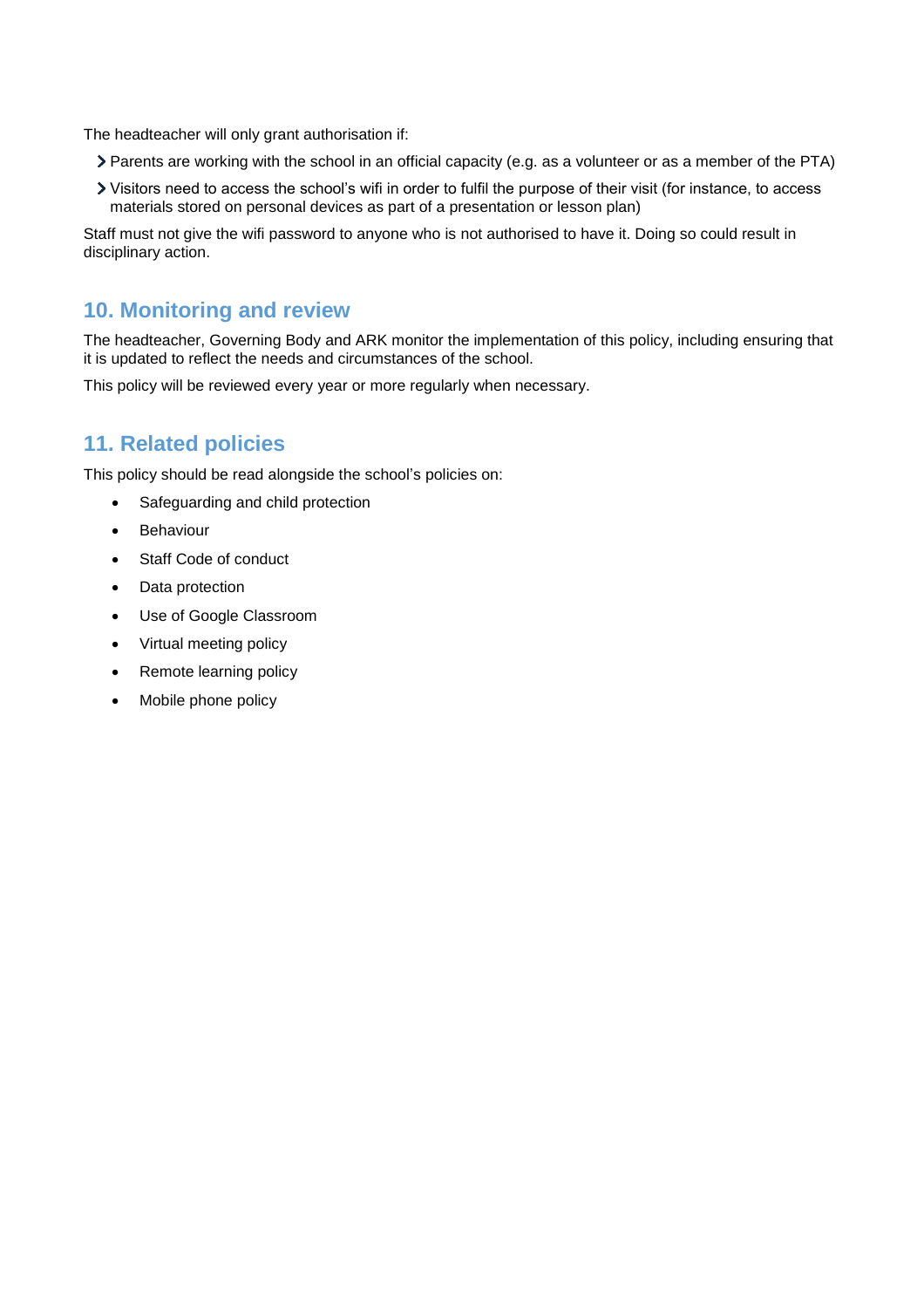The headteacher will only grant authorisation if:

- Parents are working with the school in an official capacity (e.g. as a volunteer or as a member of the PTA)
- Visitors need to access the school's wifi in order to fulfil the purpose of their visit (for instance, to access materials stored on personal devices as part of a presentation or lesson plan)

Staff must not give the wifi password to anyone who is not authorised to have it. Doing so could result in disciplinary action.

# <span id="page-8-0"></span>**10. Monitoring and review**

The headteacher, Governing Body and ARK monitor the implementation of this policy, including ensuring that it is updated to reflect the needs and circumstances of the school.

This policy will be reviewed every year or more regularly when necessary.

# <span id="page-8-1"></span>**11. Related policies**

This policy should be read alongside the school's policies on:

- Safeguarding and child protection
- Behaviour
- Staff Code of conduct
- Data protection
- Use of Google Classroom
- Virtual meeting policy
- Remote learning policy
- Mobile phone policy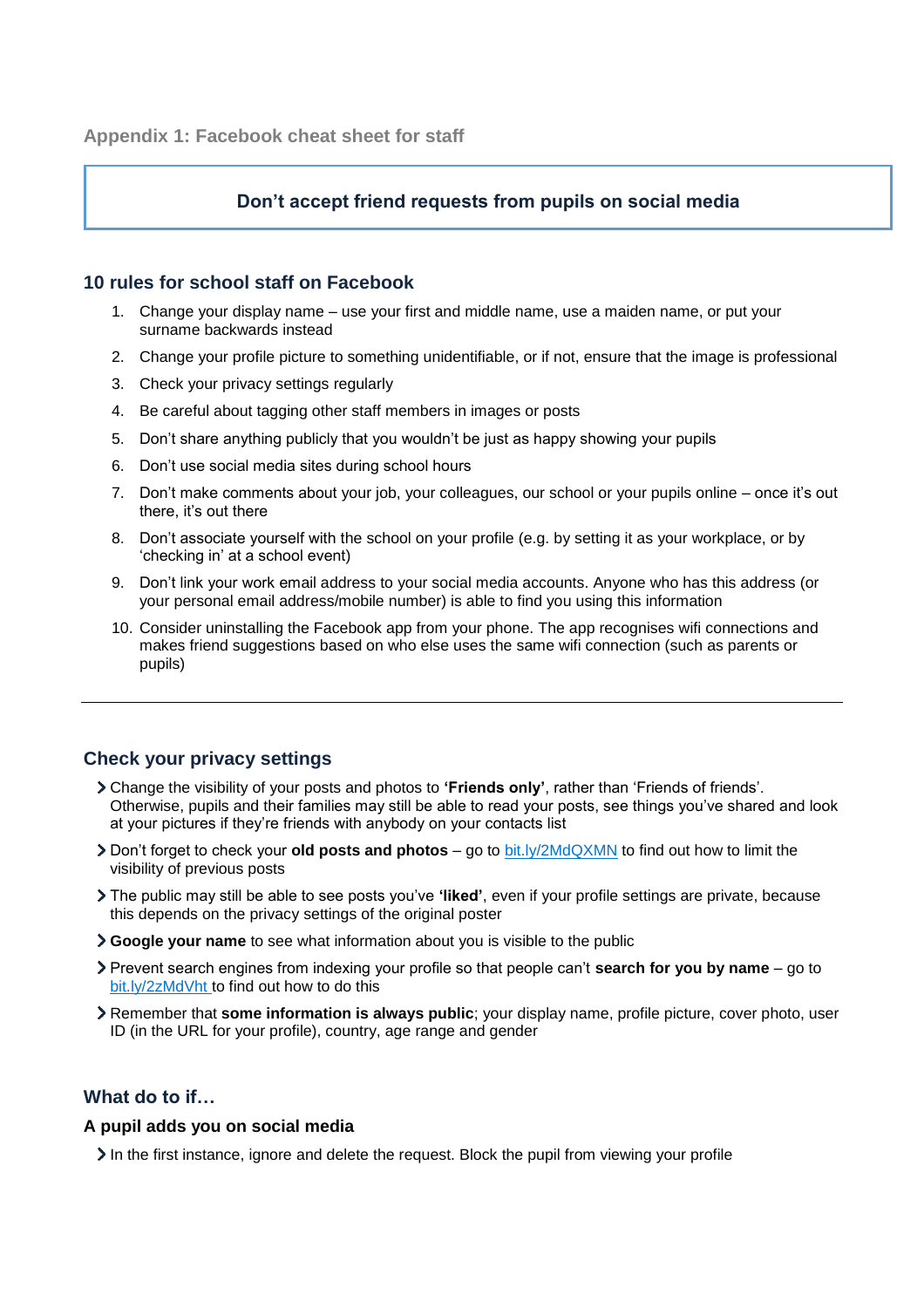## **Don't accept friend requests from pupils on social media**

#### <span id="page-9-0"></span>**10 rules for school staff on Facebook**

- 1. Change your display name use your first and middle name, use a maiden name, or put your surname backwards instead
- 2. Change your profile picture to something unidentifiable, or if not, ensure that the image is professional
- 3. Check your privacy settings regularly
- 4. Be careful about tagging other staff members in images or posts
- 5. Don't share anything publicly that you wouldn't be just as happy showing your pupils
- 6. Don't use social media sites during school hours
- 7. Don't make comments about your job, your colleagues, our school or your pupils online once it's out there, it's out there
- 8. Don't associate yourself with the school on your profile (e.g. by setting it as your workplace, or by 'checking in' at a school event)
- 9. Don't link your work email address to your social media accounts. Anyone who has this address (or your personal email address/mobile number) is able to find you using this information
- 10. Consider uninstalling the Facebook app from your phone. The app recognises wifi connections and makes friend suggestions based on who else uses the same wifi connection (such as parents or pupils)

# **Check your privacy settings**

- Change the visibility of your posts and photos to **'Friends only'**, rather than 'Friends of friends'. Otherwise, pupils and their families may still be able to read your posts, see things you've shared and look at your pictures if they're friends with anybody on your contacts list
- Don't forget to check your **old posts and photos** go to [bit.ly/2MdQXMN](https://www.facebook.com/help/iphone-app/236898969688346?helpref=uf_permalink) to find out how to limit the visibility of previous posts
- The public may still be able to see posts you've **'liked'**, even if your profile settings are private, because this depends on the privacy settings of the original poster
- **Google your name** to see what information about you is visible to the public
- Prevent search engines from indexing your profile so that people can't **search for you by name** go to [bit.ly/2zMdVht t](https://www.facebook.com/help/124518907626945?helpref=faq_content)o find out how to do this
- Remember that **some information is always public**; your display name, profile picture, cover photo, user ID (in the URL for your profile), country, age range and gender

# **What do to if…**

#### **A pupil adds you on social media**

In the first instance, ignore and delete the request. Block the pupil from viewing your profile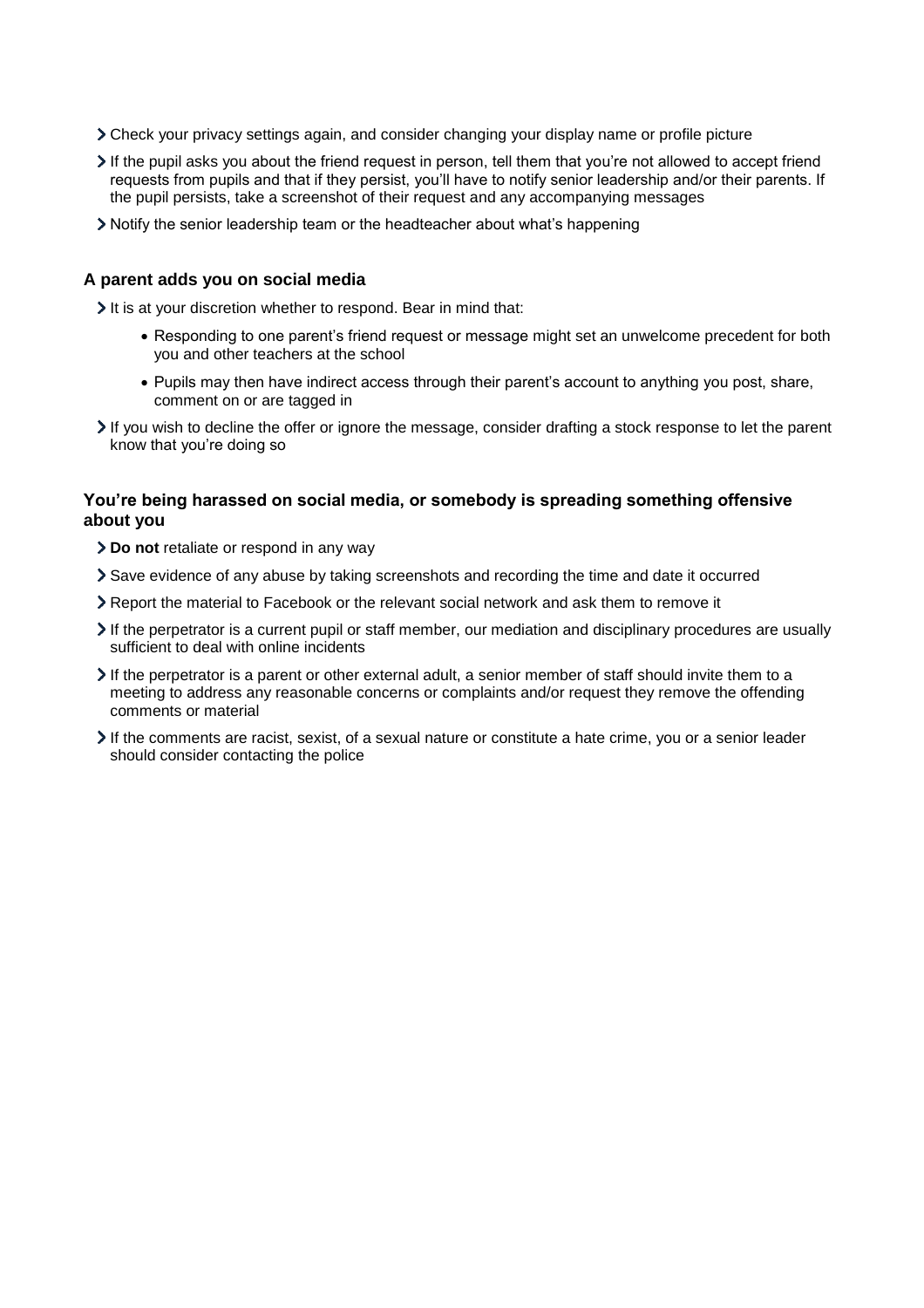- Check your privacy settings again, and consider changing your display name or profile picture
- If the pupil asks you about the friend request in person, tell them that you're not allowed to accept friend requests from pupils and that if they persist, you'll have to notify senior leadership and/or their parents. If the pupil persists, take a screenshot of their request and any accompanying messages
- Notify the senior leadership team or the headteacher about what's happening

#### **A parent adds you on social media**

It is at your discretion whether to respond. Bear in mind that:

- Responding to one parent's friend request or message might set an unwelcome precedent for both you and other teachers at the school
- Pupils may then have indirect access through their parent's account to anything you post, share, comment on or are tagged in
- If you wish to decline the offer or ignore the message, consider drafting a stock response to let the parent know that you're doing so

#### **You're being harassed on social media, or somebody is spreading something offensive about you**

- **Do not** retaliate or respond in any way
- Save evidence of any abuse by taking screenshots and recording the time and date it occurred
- Report the material to Facebook or the relevant social network and ask them to remove it
- If the perpetrator is a current pupil or staff member, our mediation and disciplinary procedures are usually sufficient to deal with online incidents
- If the perpetrator is a parent or other external adult, a senior member of staff should invite them to a meeting to address any reasonable concerns or complaints and/or request they remove the offending comments or material
- If the comments are racist, sexist, of a sexual nature or constitute a hate crime, you or a senior leader should consider contacting the police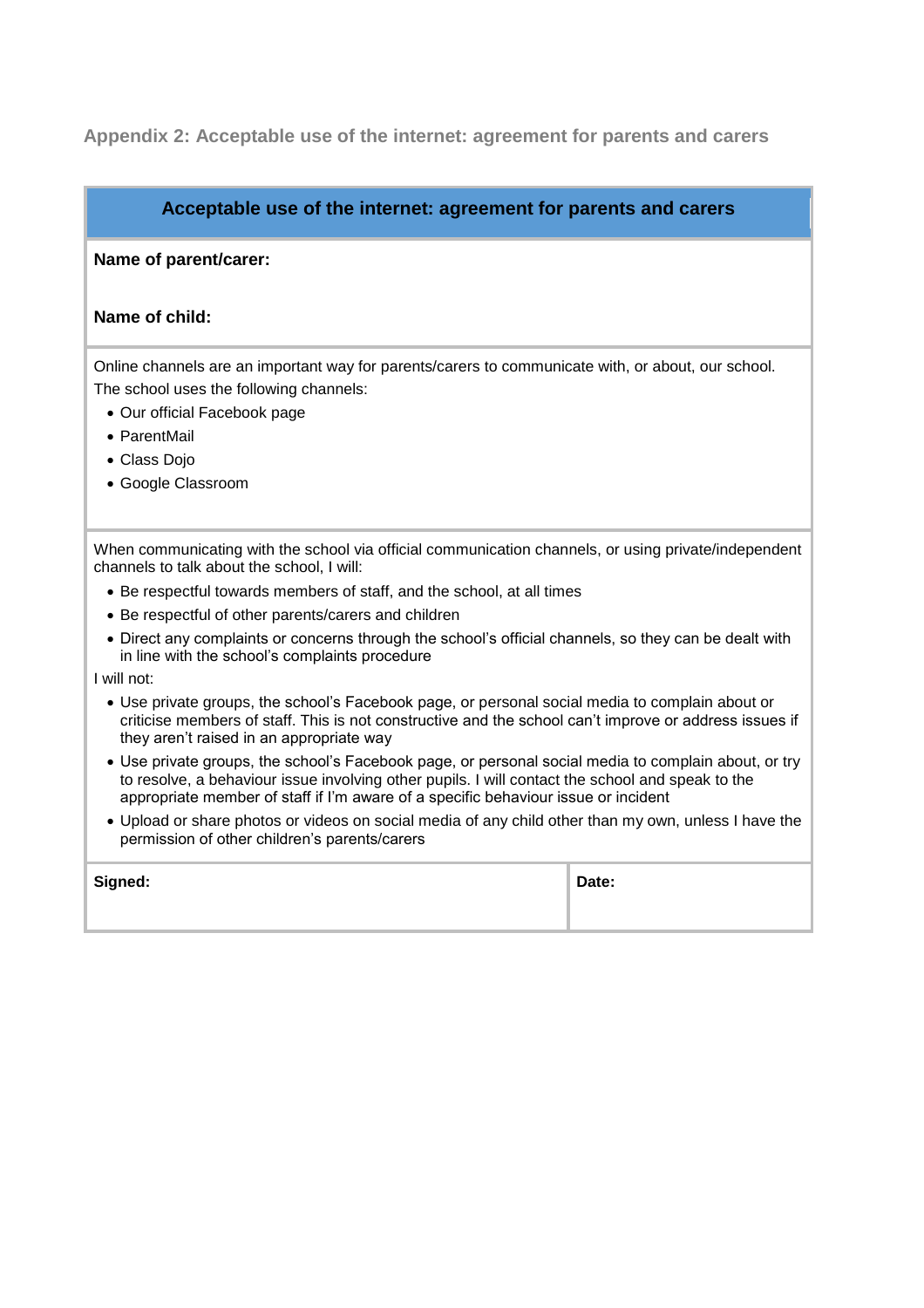# <span id="page-11-0"></span>**Appendix 2: Acceptable use of the internet: agreement for parents and carers**

## **Acceptable use of the internet: agreement for parents and carers**

#### **Name of parent/carer:**

#### **Name of child:**

Online channels are an important way for parents/carers to communicate with, or about, our school. The school uses the following channels:

- Our official Facebook page
- ParentMail
- Class Dojo
- Google Classroom

When communicating with the school via official communication channels, or using private/independent channels to talk about the school, I will:

- Be respectful towards members of staff, and the school, at all times
- Be respectful of other parents/carers and children
- Direct any complaints or concerns through the school's official channels, so they can be dealt with in line with the school's complaints procedure

I will not:

- Use private groups, the school's Facebook page, or personal social media to complain about or criticise members of staff. This is not constructive and the school can't improve or address issues if they aren't raised in an appropriate way
- Use private groups, the school's Facebook page, or personal social media to complain about, or try to resolve, a behaviour issue involving other pupils. I will contact the school and speak to the appropriate member of staff if I'm aware of a specific behaviour issue or incident
- Upload or share photos or videos on social media of any child other than my own, unless I have the permission of other children's parents/carers

| Signed: | Date: |
|---------|-------|
|         |       |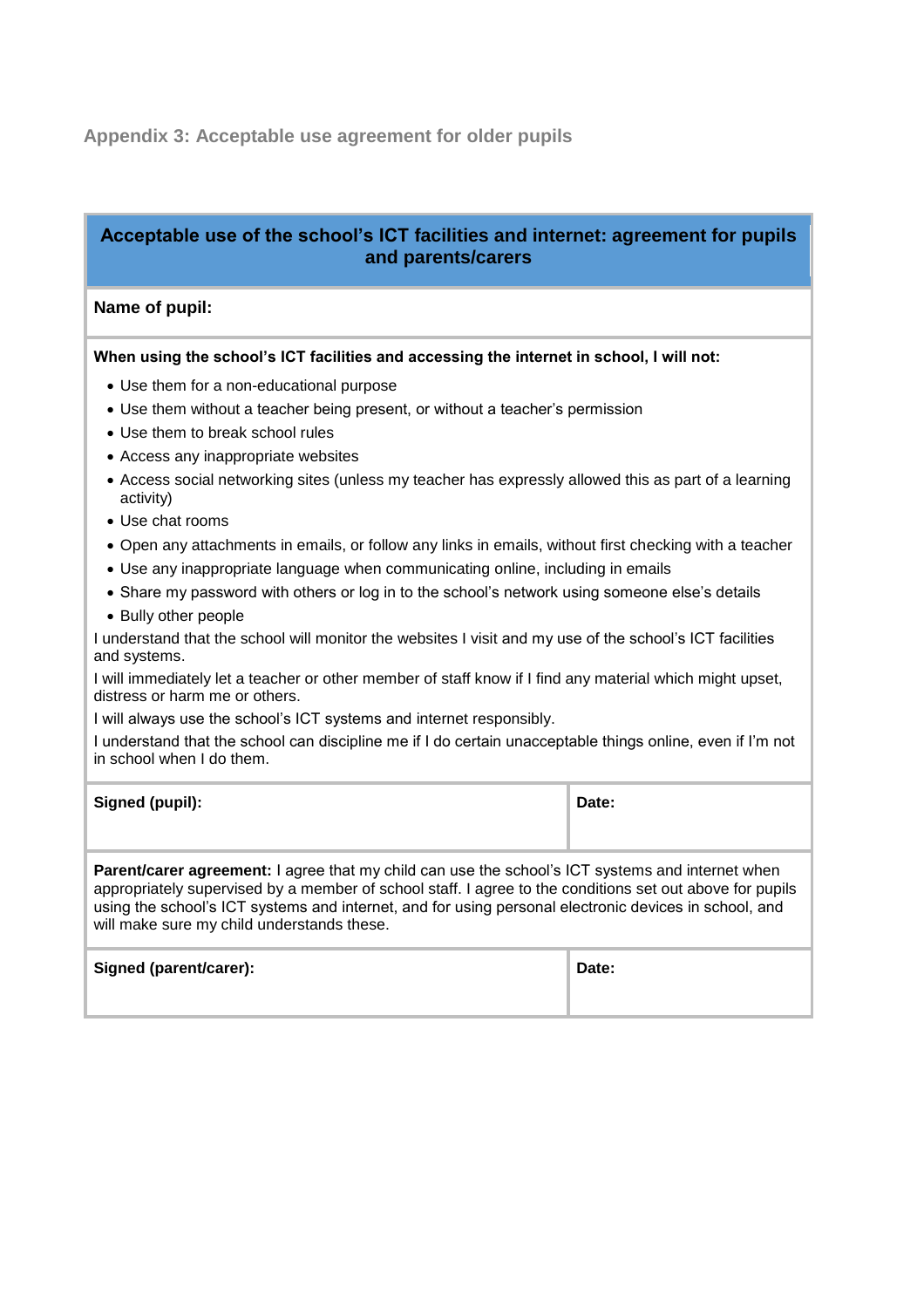# <span id="page-12-0"></span>**Appendix 3: Acceptable use agreement for older pupils**

# **Acceptable use of the school's ICT facilities and internet: agreement for pupils and parents/carers**

### **Name of pupil:**

#### **When using the school's ICT facilities and accessing the internet in school, I will not:**

- Use them for a non-educational purpose
- Use them without a teacher being present, or without a teacher's permission
- Use them to break school rules
- Access any inappropriate websites
- Access social networking sites (unless my teacher has expressly allowed this as part of a learning activity)
- Use chat rooms
- Open any attachments in emails, or follow any links in emails, without first checking with a teacher
- Use any inappropriate language when communicating online, including in emails
- Share my password with others or log in to the school's network using someone else's details
- Bully other people

I understand that the school will monitor the websites I visit and my use of the school's ICT facilities and systems.

I will immediately let a teacher or other member of staff know if I find any material which might upset, distress or harm me or others.

I will always use the school's ICT systems and internet responsibly.

I understand that the school can discipline me if I do certain unacceptable things online, even if I'm not in school when I do them.

| Signed (pupil): | Date: |
|-----------------|-------|
|                 |       |

**Parent/carer agreement:** I agree that my child can use the school's ICT systems and internet when appropriately supervised by a member of school staff. I agree to the conditions set out above for pupils using the school's ICT systems and internet, and for using personal electronic devices in school, and will make sure my child understands these.

| Signed (parent/carer): | Date: |
|------------------------|-------|
|                        |       |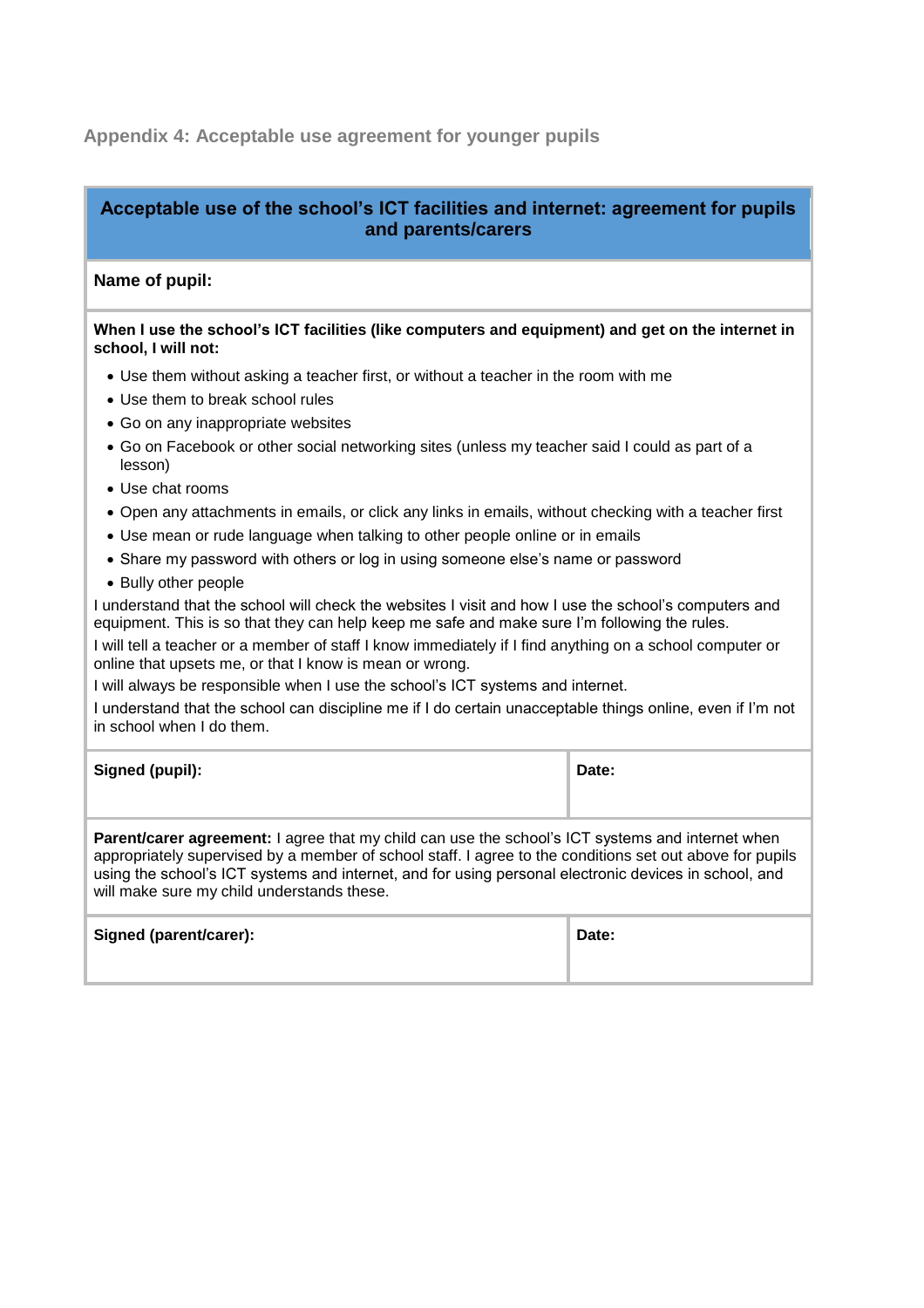# <span id="page-13-0"></span>**Appendix 4: Acceptable use agreement for younger pupils**

# **Acceptable use of the school's ICT facilities and internet: agreement for pupils and parents/carers**

#### **Name of pupil:**

#### **When I use the school's ICT facilities (like computers and equipment) and get on the internet in school, I will not:**

- Use them without asking a teacher first, or without a teacher in the room with me
- Use them to break school rules
- Go on any inappropriate websites
- Go on Facebook or other social networking sites (unless my teacher said I could as part of a lesson)
- Use chat rooms
- Open any attachments in emails, or click any links in emails, without checking with a teacher first
- Use mean or rude language when talking to other people online or in emails
- Share my password with others or log in using someone else's name or password
- Bully other people

I understand that the school will check the websites I visit and how I use the school's computers and equipment. This is so that they can help keep me safe and make sure I'm following the rules.

I will tell a teacher or a member of staff I know immediately if I find anything on a school computer or online that upsets me, or that I know is mean or wrong.

I will always be responsible when I use the school's ICT systems and internet.

I understand that the school can discipline me if I do certain unacceptable things online, even if I'm not in school when I do them.

| Signed (pupil): | Date: |
|-----------------|-------|
|                 |       |

**Parent/carer agreement:** I agree that my child can use the school's ICT systems and internet when appropriately supervised by a member of school staff. I agree to the conditions set out above for pupils using the school's ICT systems and internet, and for using personal electronic devices in school, and will make sure my child understands these.

| Signed (parent/carer): | Date: |
|------------------------|-------|
|                        |       |